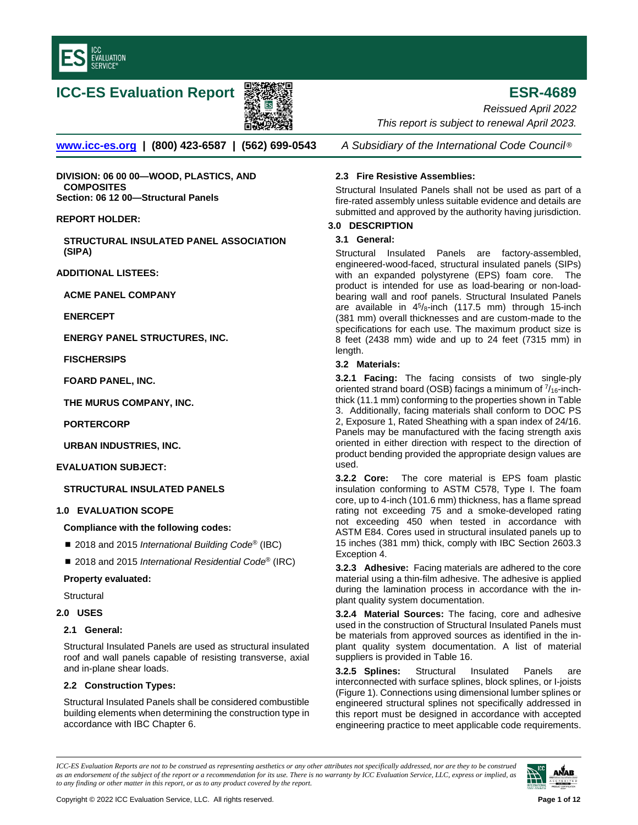

# **ICC-ES Evaluation Report ESR-4689**



*Reissued April 2022 This report is subject to renewal April 2023.* 

**[www.icc-es.org](http://www.icc-es.org/) | (800) 423-6587 | (562) 699-0543** *A Subsidiary of the International Code Council* ®

**DIVISION: 06 00 00—WOOD, PLASTICS, AND COMPOSITES Section: 06 12 00—Structural Panels**

# **REPORT HOLDER:**

**STRUCTURAL INSULATED PANEL ASSOCIATION (SIPA)** 

**ADDITIONAL LISTEES:**

**ACME PANEL COMPANY**

**ENERCEPT** 

**ENERGY PANEL STRUCTURES, INC.** 

**FISCHERSIPS** 

**FOARD PANEL, INC.**

**THE MURUS COMPANY, INC.**

**PORTERCORP**

**URBAN INDUSTRIES, INC.**

**EVALUATION SUBJECT:** 

**STRUCTURAL INSULATED PANELS**

# **1.0 EVALUATION SCOPE**

**Compliance with the following codes:**

- 2018 and 2015 *International Building Code<sup>®</sup>* (IBC)
- 2018 and 2015 *International Residential Code<sup>®</sup>* (IRC)

# **Property evaluated:**

**Structural** 

**2.0 USES** 

# **2.1 General:**

Structural Insulated Panels are used as structural insulated roof and wall panels capable of resisting transverse, axial and in-plane shear loads.

# **2.2 Construction Types:**

Structural Insulated Panels shall be considered combustible building elements when determining the construction type in accordance with IBC Chapter 6.

# **2.3 Fire Resistive Assemblies:**

Structural Insulated Panels shall not be used as part of a fire-rated assembly unless suitable evidence and details are submitted and approved by the authority having jurisdiction.

# **3.0 DESCRIPTION**

# **3.1 General:**

Structural Insulated Panels are factory-assembled, engineered-wood-faced, structural insulated panels (SIPs) with an expanded polystyrene (EPS) foam core. The product is intended for use as load-bearing or non-loadbearing wall and roof panels. Structural Insulated Panels are available in  $4^5$ /8-inch (117.5 mm) through 15-inch (381 mm) overall thicknesses and are custom-made to the specifications for each use. The maximum product size is 8 feet (2438 mm) wide and up to 24 feet (7315 mm) in length.

# **3.2 Materials:**

**3.2.1 Facing:** The facing consists of two single-ply oriented strand board (OSB) facings a minimum of  $\frac{7}{16}$ -inchthick (11.1 mm) conforming to the properties shown in Table 3. Additionally, facing materials shall conform to DOC PS 2, Exposure 1, Rated Sheathing with a span index of 24/16. Panels may be manufactured with the facing strength axis oriented in either direction with respect to the direction of product bending provided the appropriate design values are used.

**3.2.2 Core:** The core material is EPS foam plastic insulation conforming to ASTM C578, Type I. The foam core, up to 4-inch (101.6 mm) thickness, has a flame spread rating not exceeding 75 and a smoke-developed rating not exceeding 450 when tested in accordance with ASTM E84. Cores used in structural insulated panels up to 15 inches (381 mm) thick, comply with IBC Section 2603.3 Exception 4.

**3.2.3 Adhesive:** Facing materials are adhered to the core material using a thin-film adhesive. The adhesive is applied during the lamination process in accordance with the inplant quality system documentation.

**3.2.4 Material Sources:** The facing, core and adhesive used in the construction of Structural Insulated Panels must be materials from approved sources as identified in the inplant quality system documentation. A list of material suppliers is provided in Table 16.

**3.2.5 Splines:** Structural Insulated Panels are interconnected with surface splines, block splines, or I-joists (Figure 1). Connections using dimensional lumber splines or engineered structural splines not specifically addressed in this report must be designed in accordance with accepted engineering practice to meet applicable code requirements.

*ICC-ES Evaluation Reports are not to be construed as representing aesthetics or any other attributes not specifically addressed, nor are they to be construed as an endorsement of the subject of the report or a recommendation for its use. There is no warranty by ICC Evaluation Service, LLC, express or implied, as to any finding or other matter in this report, or as to any product covered by the report.*

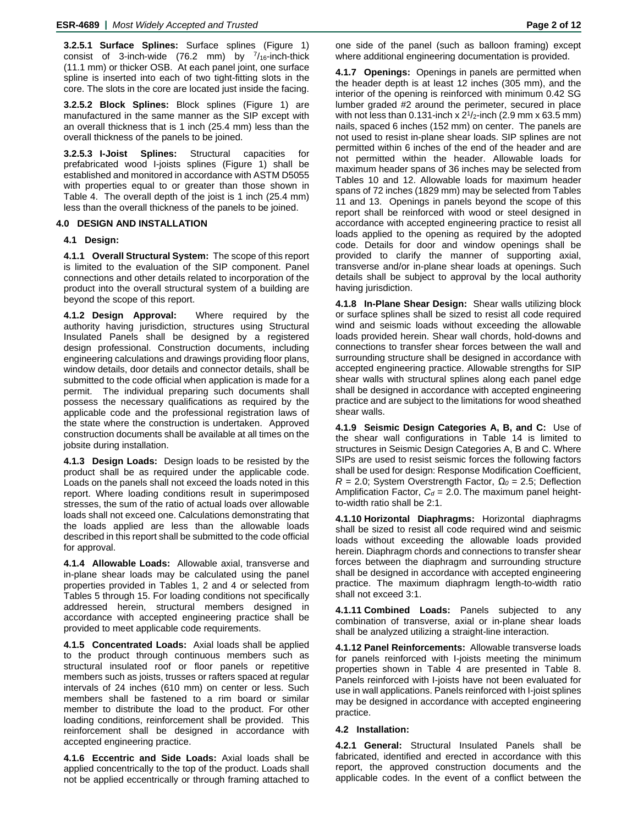**3.2.5.1 Surface Splines:** Surface splines (Figure 1) consist of 3-inch-wide (76.2 mm) by  $^{7}/_{16}$ -inch-thick (11.1 mm) or thicker OSB. At each panel joint, one surface spline is inserted into each of two tight-fitting slots in the core. The slots in the core are located just inside the facing.

**3.2.5.2 Block Splines:** Block splines (Figure 1) are manufactured in the same manner as the SIP except with an overall thickness that is 1 inch (25.4 mm) less than the overall thickness of the panels to be joined.

**3.2.5.3 I-Joist Splines:** Structural capacities for prefabricated wood I-joists splines (Figure 1) shall be established and monitored in accordance with ASTM D5055 with properties equal to or greater than those shown in Table 4. The overall depth of the joist is 1 inch (25.4 mm) less than the overall thickness of the panels to be joined.

# **4.0 DESIGN AND INSTALLATION**

# **4.1 Design:**

**4.1.1 Overall Structural System:** The scope of this report is limited to the evaluation of the SIP component. Panel connections and other details related to incorporation of the product into the overall structural system of a building are beyond the scope of this report.

**4.1.2 Design Approval:** Where required by the authority having jurisdiction, structures using Structural Insulated Panels shall be designed by a registered design professional. Construction documents, including engineering calculations and drawings providing floor plans, window details, door details and connector details, shall be submitted to the code official when application is made for a permit. The individual preparing such documents shall possess the necessary qualifications as required by the applicable code and the professional registration laws of the state where the construction is undertaken. Approved construction documents shall be available at all times on the jobsite during installation.

**4.1.3 Design Loads:** Design loads to be resisted by the product shall be as required under the applicable code. Loads on the panels shall not exceed the loads noted in this report. Where loading conditions result in superimposed stresses, the sum of the ratio of actual loads over allowable loads shall not exceed one. Calculations demonstrating that the loads applied are less than the allowable loads described in this report shall be submitted to the code official for approval.

**4.1.4 Allowable Loads:** Allowable axial, transverse and in-plane shear loads may be calculated using the panel properties provided in Tables 1, 2 and 4 or selected from Tables 5 through 15. For loading conditions not specifically addressed herein, structural members designed in accordance with accepted engineering practice shall be provided to meet applicable code requirements.

**4.1.5 Concentrated Loads:** Axial loads shall be applied to the product through continuous members such as structural insulated roof or floor panels or repetitive members such as joists, trusses or rafters spaced at regular intervals of 24 inches (610 mm) on center or less. Such members shall be fastened to a rim board or similar member to distribute the load to the product. For other loading conditions, reinforcement shall be provided. This reinforcement shall be designed in accordance with accepted engineering practice.

**4.1.6 Eccentric and Side Loads:** Axial loads shall be applied concentrically to the top of the product. Loads shall not be applied eccentrically or through framing attached to

one side of the panel (such as balloon framing) except where additional engineering documentation is provided.

**4.1.7 Openings:** Openings in panels are permitted when the header depth is at least 12 inches (305 mm), and the interior of the opening is reinforced with minimum 0.42 SG lumber graded #2 around the perimeter, secured in place with not less than 0.131-inch x  $2^{1}/2$ -inch (2.9 mm x 63.5 mm) nails, spaced 6 inches (152 mm) on center. The panels are not used to resist in-plane shear loads. SIP splines are not permitted within 6 inches of the end of the header and are not permitted within the header. Allowable loads for maximum header spans of 36 inches may be selected from Tables 10 and 12. Allowable loads for maximum header spans of 72 inches (1829 mm) may be selected from Tables 11 and 13. Openings in panels beyond the scope of this report shall be reinforced with wood or steel designed in accordance with accepted engineering practice to resist all loads applied to the opening as required by the adopted code. Details for door and window openings shall be provided to clarify the manner of supporting axial, transverse and/or in-plane shear loads at openings. Such details shall be subject to approval by the local authority having jurisdiction.

**4.1.8 In-Plane Shear Design:** Shear walls utilizing block or surface splines shall be sized to resist all code required wind and seismic loads without exceeding the allowable loads provided herein. Shear wall chords, hold-downs and connections to transfer shear forces between the wall and surrounding structure shall be designed in accordance with accepted engineering practice. Allowable strengths for SIP shear walls with structural splines along each panel edge shall be designed in accordance with accepted engineering practice and are subject to the limitations for wood sheathed shear walls.

**4.1.9 Seismic Design Categories A, B, and C:** Use of the shear wall configurations in Table 14 is limited to structures in Seismic Design Categories A, B and C. Where SIPs are used to resist seismic forces the following factors shall be used for design: Response Modification Coefficient, *R* = 2.0; System Overstrength Factor, *Ω<sup>0</sup>* = 2.5; Deflection Amplification Factor,  $C_d = 2.0$ . The maximum panel heightto-width ratio shall be 2:1.

**4.1.10 Horizontal Diaphragms:** Horizontal diaphragms shall be sized to resist all code required wind and seismic loads without exceeding the allowable loads provided herein. Diaphragm chords and connections to transfer shear forces between the diaphragm and surrounding structure shall be designed in accordance with accepted engineering practice. The maximum diaphragm length-to-width ratio shall not exceed 3:1.

**4.1.11 Combined Loads:** Panels subjected to any combination of transverse, axial or in-plane shear loads shall be analyzed utilizing a straight-line interaction.

**4.1.12 Panel Reinforcements:** Allowable transverse loads for panels reinforced with I-joists meeting the minimum properties shown in Table 4 are presented in Table 8. Panels reinforced with I-joists have not been evaluated for use in wall applications. Panels reinforced with I-joist splines may be designed in accordance with accepted engineering practice.

# **4.2 Installation:**

**4.2.1 General:** Structural Insulated Panels shall be fabricated, identified and erected in accordance with this report, the approved construction documents and the applicable codes. In the event of a conflict between the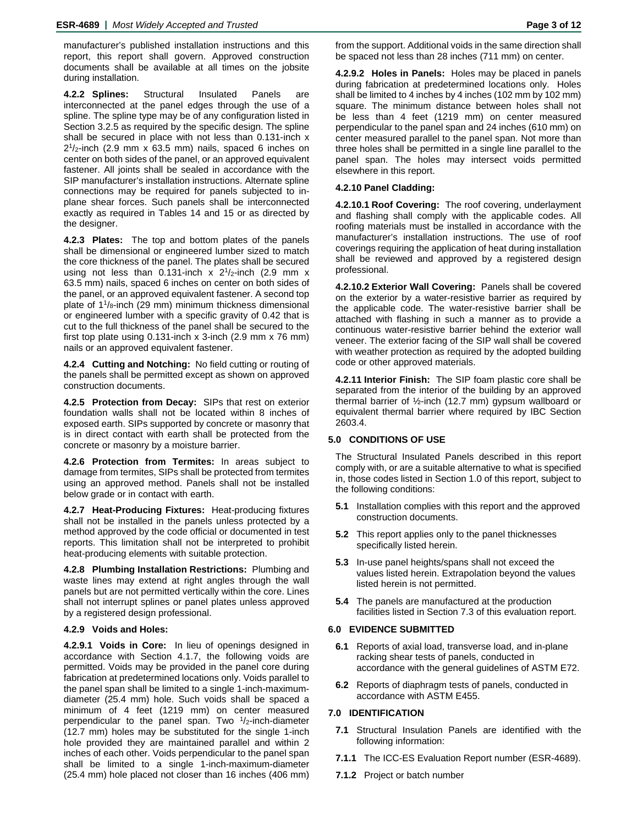manufacturer's published installation instructions and this report, this report shall govern. Approved construction documents shall be available at all times on the jobsite during installation.

**4.2.2 Splines:** Structural Insulated Panels are interconnected at the panel edges through the use of a spline. The spline type may be of any configuration listed in Section 3.2.5 as required by the specific design. The spline shall be secured in place with not less than 0.131-inch x  $2<sup>1</sup>/2$ -inch (2.9 mm x 63.5 mm) nails, spaced 6 inches on center on both sides of the panel, or an approved equivalent fastener. All joints shall be sealed in accordance with the SIP manufacturer's installation instructions. Alternate spline connections may be required for panels subjected to inplane shear forces. Such panels shall be interconnected exactly as required in Tables 14 and 15 or as directed by the designer.

**4.2.3 Plates:** The top and bottom plates of the panels shall be dimensional or engineered lumber sized to match the core thickness of the panel. The plates shall be secured using not less than 0.131-inch x  $2^{1}/2$ -inch (2.9 mm x 63.5 mm) nails, spaced 6 inches on center on both sides of the panel, or an approved equivalent fastener. A second top plate of  $1\frac{1}{8}$ -inch (29 mm) minimum thickness dimensional or engineered lumber with a specific gravity of 0.42 that is cut to the full thickness of the panel shall be secured to the first top plate using 0.131-inch x 3-inch (2.9 mm x 76 mm) nails or an approved equivalent fastener.

**4.2.4 Cutting and Notching:** No field cutting or routing of the panels shall be permitted except as shown on approved construction documents.

**4.2.5 Protection from Decay:** SIPs that rest on exterior foundation walls shall not be located within 8 inches of exposed earth. SIPs supported by concrete or masonry that is in direct contact with earth shall be protected from the concrete or masonry by a moisture barrier.

**4.2.6 Protection from Termites:** In areas subject to damage from termites, SIPs shall be protected from termites using an approved method. Panels shall not be installed below grade or in contact with earth.

**4.2.7 Heat-Producing Fixtures:** Heat-producing fixtures shall not be installed in the panels unless protected by a method approved by the code official or documented in test reports. This limitation shall not be interpreted to prohibit heat-producing elements with suitable protection.

**4.2.8 Plumbing Installation Restrictions:** Plumbing and waste lines may extend at right angles through the wall panels but are not permitted vertically within the core. Lines shall not interrupt splines or panel plates unless approved by a registered design professional.

# **4.2.9 Voids and Holes:**

**4.2.9.1 Voids in Core:** In lieu of openings designed in accordance with Section 4.1.7, the following voids are permitted. Voids may be provided in the panel core during fabrication at predetermined locations only. Voids parallel to the panel span shall be limited to a single 1-inch-maximumdiameter (25.4 mm) hole. Such voids shall be spaced a minimum of 4 feet (1219 mm) on center measured perpendicular to the panel span. Two  $1/2$ -inch-diameter (12.7 mm) holes may be substituted for the single 1-inch hole provided they are maintained parallel and within 2 inches of each other. Voids perpendicular to the panel span shall be limited to a single 1-inch-maximum-diameter (25.4 mm) hole placed not closer than 16 inches (406 mm)

from the support. Additional voids in the same direction shall be spaced not less than 28 inches (711 mm) on center.

**4.2.9.2 Holes in Panels:** Holes may be placed in panels during fabrication at predetermined locations only. Holes shall be limited to 4 inches by 4 inches (102 mm by 102 mm) square. The minimum distance between holes shall not be less than 4 feet (1219 mm) on center measured perpendicular to the panel span and 24 inches (610 mm) on center measured parallel to the panel span. Not more than three holes shall be permitted in a single line parallel to the panel span. The holes may intersect voids permitted elsewhere in this report.

# **4.2.10 Panel Cladding:**

**4.2.10.1 Roof Covering:** The roof covering, underlayment and flashing shall comply with the applicable codes. All roofing materials must be installed in accordance with the manufacturer's installation instructions. The use of roof coverings requiring the application of heat during installation shall be reviewed and approved by a registered design professional.

**4.2.10.2 Exterior Wall Covering:** Panels shall be covered on the exterior by a water-resistive barrier as required by the applicable code. The water-resistive barrier shall be attached with flashing in such a manner as to provide a continuous water-resistive barrier behind the exterior wall veneer. The exterior facing of the SIP wall shall be covered with weather protection as required by the adopted building code or other approved materials.

**4.2.11 Interior Finish:** The SIP foam plastic core shall be separated from the interior of the building by an approved thermal barrier of ½-inch (12.7 mm) gypsum wallboard or equivalent thermal barrier where required by IBC Section 2603.4.

# **5.0 CONDITIONS OF USE**

The Structural Insulated Panels described in this report comply with, or are a suitable alternative to what is specified in, those codes listed in Section 1.0 of this report, subject to the following conditions:

- **5.1** Installation complies with this report and the approved construction documents.
- **5.2** This report applies only to the panel thicknesses specifically listed herein.
- **5.3** In-use panel heights/spans shall not exceed the values listed herein. Extrapolation beyond the values listed herein is not permitted.
- **5.4** The panels are manufactured at the production facilities listed in Section 7.3 of this evaluation report.

#### **6.0 EVIDENCE SUBMITTED**

- **6.1** Reports of axial load, transverse load, and in-plane racking shear tests of panels, conducted in accordance with the general guidelines of ASTM E72.
- **6.2** Reports of diaphragm tests of panels, conducted in accordance with ASTM E455.

# **7.0 IDENTIFICATION**

- **7.1** Structural Insulation Panels are identified with the following information:
- **7.1.1** The ICC-ES Evaluation Report number (ESR-4689).
- **7.1.2** Project or batch number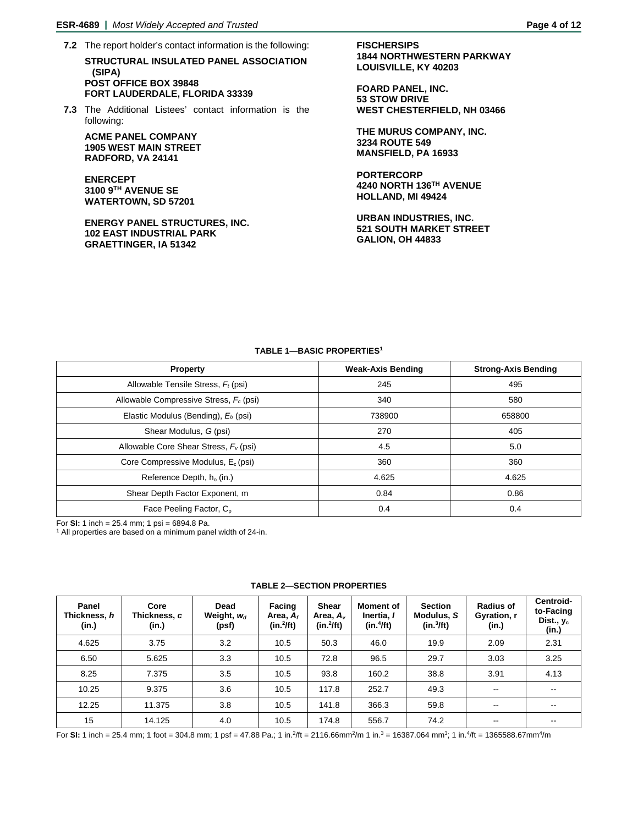- **7.2** The report holder's contact information is the following: **STRUCTURAL INSULATED PANEL ASSOCIATION (SIPA) POST OFFICE BOX 39848 FORT LAUDERDALE, FLORIDA 33339**
- **7.3** The Additional Listees' contact information is the following:

**ACME PANEL COMPANY 1905 WEST MAIN STREET RADFORD, VA 24141**

**ENERCEPT 3100 9TH AVENUE SE WATERTOWN, SD 57201**

**ENERGY PANEL STRUCTURES, INC. 102 EAST INDUSTRIAL PARK GRAETTINGER, IA 51342**

**FISCHERSIPS 1844 NORTHWESTERN PARKWAY LOUISVILLE, KY 40203**

**FOARD PANEL, INC. 53 STOW DRIVE WEST CHESTERFIELD, NH 03466**

**THE MURUS COMPANY, INC. 3234 ROUTE 549 MANSFIELD, PA 16933**

**PORTERCORP 4240 NORTH 136TH AVENUE HOLLAND, MI 49424**

**URBAN INDUSTRIES, INC. 521 SOUTH MARKET STREET GALION, OH 44833**

# **TABLE 1—BASIC PROPERTIES1**

| <b>Property</b>                                    | <b>Weak-Axis Bending</b> | <b>Strong-Axis Bending</b> |
|----------------------------------------------------|--------------------------|----------------------------|
| Allowable Tensile Stress, $F_t$ (psi)              | 245                      | 495                        |
| Allowable Compressive Stress, F <sub>c</sub> (psi) | 340                      | 580                        |
| Elastic Modulus (Bending), E <sub>b</sub> (psi)    | 738900                   | 658800                     |
| Shear Modulus, G (psi)                             | 270                      | 405                        |
| Allowable Core Shear Stress, $F_v$ (psi)           | 4.5                      | 5.0                        |
| Core Compressive Modulus, E <sub>c</sub> (psi)     | 360                      | 360                        |
| Reference Depth, h <sub>o</sub> (in.)              | 4.625                    | 4.625                      |
| Shear Depth Factor Exponent, m                     | 0.84                     | 0.86                       |
| Face Peeling Factor, C <sub>p</sub>                | 0.4                      | 0.4                        |

For **SI:** 1 inch = 25.4 mm; 1 psi = 6894.8 Pa.<br><sup>1</sup> All properties are based on a minimum panel width of 24-in.

| Panel<br>Thickness, h<br>(in.) | Core<br>Thickness, c<br>(in.) | Dead<br>Weight, $w_d$<br>(psf) | Facing<br>Area, $A_f$<br>$(in.^2/ft)$ | Shear<br>Area, $A_v$<br>$(in.^2/ft)$ | <b>Moment of</b><br>Inertia, I<br>(in.4ft) | <b>Section</b><br>Modulus, S<br>(in.3/ft) | <b>Radius of</b><br>Gyration, r<br>(in.) | Centroid-<br>to-Facing<br>Dist., $y_c$<br>(in.) |
|--------------------------------|-------------------------------|--------------------------------|---------------------------------------|--------------------------------------|--------------------------------------------|-------------------------------------------|------------------------------------------|-------------------------------------------------|
| 4.625                          | 3.75                          | 3.2                            | 10.5                                  | 50.3                                 | 46.0                                       | 19.9                                      | 2.09                                     | 2.31                                            |
| 6.50                           | 5.625                         | 3.3                            | 10.5                                  | 72.8                                 | 96.5                                       | 29.7                                      | 3.03                                     | 3.25                                            |
| 8.25                           | 7.375                         | 3.5                            | 10.5                                  | 93.8                                 | 160.2                                      | 38.8                                      | 3.91                                     | 4.13                                            |
| 10.25                          | 9.375                         | 3.6                            | 10.5                                  | 117.8                                | 252.7                                      | 49.3                                      | $\overline{\phantom{m}}$                 | $- -$                                           |
| 12.25                          | 11.375                        | 3.8                            | 10.5                                  | 141.8                                | 366.3                                      | 59.8                                      | $\overline{\phantom{m}}$                 | $- -$                                           |
| 15                             | 14.125                        | 4.0                            | 10.5                                  | 174.8                                | 556.7                                      | 74.2                                      | $- -$                                    |                                                 |

# **TABLE 2—SECTION PROPERTIES**

For SI: 1 inch = 25.4 mm; 1 foot = 304.8 mm; 1 psf = 47.88 Pa.; 1 in.<sup>2</sup>/ft = 2116.66mm<sup>2</sup>/m 1 in.<sup>3</sup> = 16387.064 mm<sup>3</sup>; 1 in.<sup>4</sup>/ft = 1365588.67mm<sup>4</sup>/m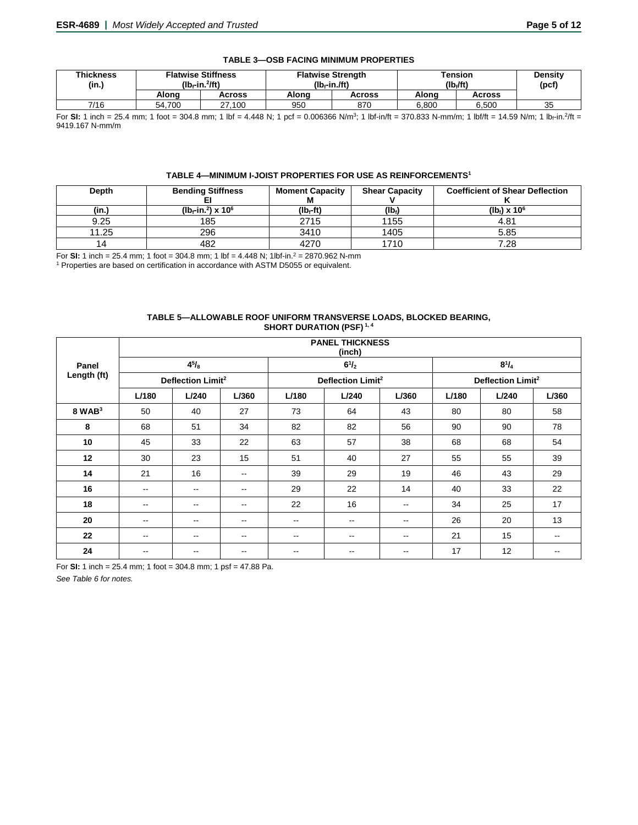| <b>Thickness</b><br>(in.) | <b>Flatwise Stiffness</b><br>$(Ib - in.2/ft)$ |        |       | <b>Flatwise Strength</b><br>$(Ib - in .ft)$ | <b>Tension</b><br>(lb./ft) | Density<br>(pcf) |    |
|---------------------------|-----------------------------------------------|--------|-------|---------------------------------------------|----------------------------|------------------|----|
|                           | Alona                                         | Across | Alona | Across                                      | Alona                      | Across           |    |
| 7/16                      | 54.700                                        | 27.100 | 950   | 870                                         | 6.800                      | 6.500            | 35 |

# **TABLE 3—OSB FACING MINIMUM PROPERTIES**

┙ For SI: 1 inch = 25.4 mm; 1 foot = 304.8 mm; 1 lbf = 4.448 N; 1 pcf = 0.006366 N/m<sup>3</sup>; 1 lbf-in/ft = 370.833 N-mm/m; 1 lbf/ft = 14.59 N/m; 1 lb<sub>f</sub>-in.<sup>2</sup>/ft = 9419.167 N-mm/m

# **TABLE 4—MINIMUM I-JOIST PROPERTIES FOR USE AS REINFORCEMENTS1**

| <b>Depth</b> | <b>Bending Stiffness</b>                      | <b>Moment Capacity</b> | <b>Shear Capacity</b>   | <b>Coefficient of Shear Deflection</b> |
|--------------|-----------------------------------------------|------------------------|-------------------------|----------------------------------------|
|              |                                               | М                      |                         |                                        |
| (in.)        | ( $Ib-f$ in. <sup>2</sup> ) x 10 <sup>6</sup> | (lb <sub>f</sub> -ft)  | $($ lb <sub>f</sub> $)$ | $(lb_1) \times 10^6$                   |
| 9.25         | 185                                           | 2715                   | 1155                    | 4.81                                   |
| 11.25        | 296                                           | 3410                   | 1405                    | 5.85                                   |
| 14           | 482                                           | 4270                   | 1710                    | 7.28                                   |

For **SI:** 1 inch = 25.4 mm; 1 foot = 304.8 mm; 1 lbf = 4.448 N; 1lbf-in.2 = 2870.962 N-mm

<sup>1</sup> Properties are based on certification in accordance with ASTM D5055 or equivalent.

#### **TABLE 5—ALLOWABLE ROOF UNIFORM TRANSVERSE LOADS, BLOCKED BEARING, SHORT DURATION (PSF) 1, 4**

|                    |                               | <b>PANEL THICKNESS</b><br>(inch) |                          |       |                               |       |       |                               |                          |  |  |  |
|--------------------|-------------------------------|----------------------------------|--------------------------|-------|-------------------------------|-------|-------|-------------------------------|--------------------------|--|--|--|
| Panel              |                               | $4^{5}/_{8}$                     |                          |       | $6^{1}/_{2}$                  |       |       | $8^{1}/_{4}$                  |                          |  |  |  |
| Length (ft)        | Deflection Limit <sup>2</sup> |                                  |                          |       | Deflection Limit <sup>2</sup> |       |       | Deflection Limit <sup>2</sup> |                          |  |  |  |
|                    | L/180                         | L/240                            | L/360                    | L/180 | L/240                         | L/360 | L/180 | L/240                         | L/360                    |  |  |  |
| 8 WAB <sup>3</sup> | 50                            | 40                               | 27                       | 73    | 64                            | 43    | 80    | 80                            | 58                       |  |  |  |
| 8                  | 68                            | 51                               | 34                       | 82    | 82                            | 56    | 90    | 90                            | 78                       |  |  |  |
| 10                 | 45                            | 33                               | 22                       | 63    | 57                            | 38    | 68    | 68                            | 54                       |  |  |  |
| 12                 | 30                            | 23                               | 15                       | 51    | 40                            | 27    | 55    | 55                            | 39                       |  |  |  |
| 14                 | 21                            | 16                               | $\overline{\phantom{m}}$ | 39    | 29                            | 19    | 46    | 43                            | 29                       |  |  |  |
| 16                 | $\overline{\phantom{a}}$      | $\qquad \qquad -$                | --                       | 29    | 22                            | 14    | 40    | 33                            | 22                       |  |  |  |
| 18                 | $\overline{\phantom{a}}$      | $\qquad \qquad -$                | $\overline{\phantom{a}}$ | 22    | 16                            | --    | 34    | 25                            | 17                       |  |  |  |
| 20                 | $\overline{\phantom{m}}$      | $\qquad \qquad -$                | $\overline{\phantom{m}}$ | --    | $\overline{\phantom{m}}$      | --    | 26    | 20                            | 13                       |  |  |  |
| 22                 | $\qquad \qquad -$             | $\qquad \qquad -$                | $\overline{\phantom{m}}$ | $- -$ | $\overline{\phantom{m}}$      | --    | 21    | 15                            | $\overline{\phantom{a}}$ |  |  |  |
| 24                 | $\overline{\phantom{m}}$      | $\overline{\phantom{m}}$         | $\overline{\phantom{m}}$ | --    | $\overline{\phantom{m}}$      | --    | 17    | 12                            | $\overline{\phantom{m}}$ |  |  |  |

For **SI:** 1 inch = 25.4 mm; 1 foot = 304.8 mm; 1 psf = 47.88 Pa.

*See Table 6 for notes.*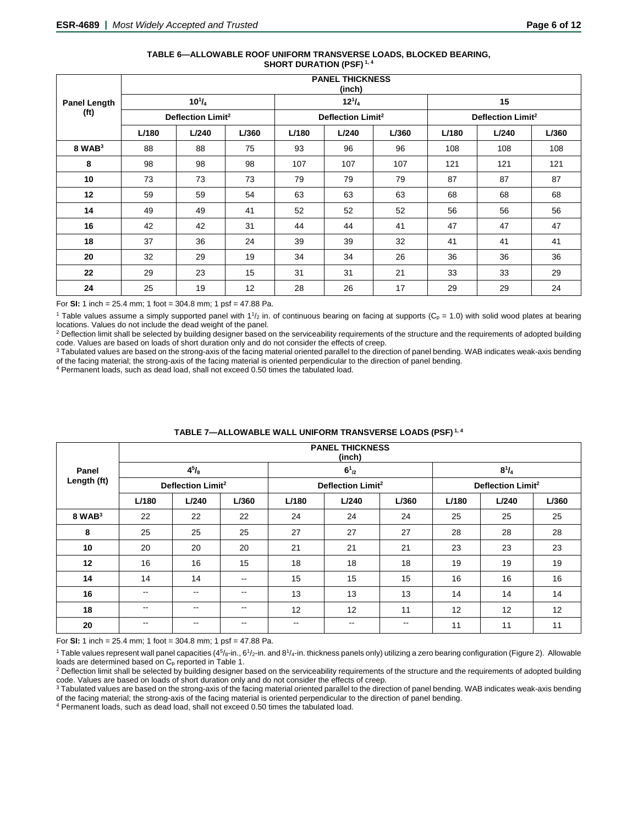#### **TABLE 6—ALLOWABLE ROOF UNIFORM TRANSVERSE LOADS, BLOCKED BEARING, SHORT DURATION (PSF) 1, 4**

|                     |       | <b>PANEL THICKNESS</b><br>(inch) |       |       |                               |       |       |                               |       |  |  |  |
|---------------------|-------|----------------------------------|-------|-------|-------------------------------|-------|-------|-------------------------------|-------|--|--|--|
| <b>Panel Length</b> |       | $10^{1}/_{4}$                    |       |       | $12^{1}/_{4}$                 |       |       | 15                            |       |  |  |  |
| (f <sup>t</sup> )   |       | Deflection Limit <sup>2</sup>    |       |       | Deflection Limit <sup>2</sup> |       |       | Deflection Limit <sup>2</sup> |       |  |  |  |
|                     | L/180 | L/240                            | L/360 | L/180 | L/240                         | L/360 | L/180 | L/240                         | L/360 |  |  |  |
| $8$ WAB $3$         | 88    | 88                               | 75    | 93    | 96                            | 96    | 108   | 108                           | 108   |  |  |  |
| 8                   | 98    | 98                               | 98    | 107   | 107                           | 107   | 121   | 121                           | 121   |  |  |  |
| 10                  | 73    | 73                               | 73    | 79    | 79                            | 79    | 87    | 87                            | 87    |  |  |  |
| 12                  | 59    | 59                               | 54    | 63    | 63                            | 63    | 68    | 68                            | 68    |  |  |  |
| 14                  | 49    | 49                               | 41    | 52    | 52                            | 52    | 56    | 56                            | 56    |  |  |  |
| 16                  | 42    | 42                               | 31    | 44    | 44                            | 41    | 47    | 47                            | 47    |  |  |  |
| 18                  | 37    | 36                               | 24    | 39    | 39                            | 32    | 41    | 41                            | 41    |  |  |  |
| 20                  | 32    | 29                               | 19    | 34    | 34                            | 26    | 36    | 36                            | 36    |  |  |  |
| 22                  | 29    | 23                               | 15    | 31    | 31                            | 21    | 33    | 33                            | 29    |  |  |  |
| 24                  | 25    | 19                               | 12    | 28    | 26                            | 17    | 29    | 29                            | 24    |  |  |  |

For **SI:** 1 inch = 25.4 mm; 1 foot = 304.8 mm; 1 psf = 47.88 Pa.

<sup>1</sup> Table values assume a simply supported panel with  $1\frac{1}{2}$  in. of continuous bearing on facing at supports (C<sub>p</sub> = 1.0) with solid wood plates at bearing locations. Values do not include the dead weight of the panel

<sup>2</sup> Deflection limit shall be selected by building designer based on the serviceability requirements of the structure and the requirements of adopted building code. Values are based on loads of short duration only and do not consider the effects of creep.

<sup>3</sup> Tabulated values are based on the strong-axis of the facing material oriented parallel to the direction of panel bending. WAB indicates weak-axis bending of the facing material; the strong-axis of the facing material is oriented perpendicular to the direction of panel bending.

<sup>4</sup> Permanent loads, such as dead load, shall not exceed 0.50 times the tabulated load.

|             |                               | <b>PANEL THICKNESS</b><br>(inch) |                          |                               |             |                          |       |                               |       |  |  |  |
|-------------|-------------------------------|----------------------------------|--------------------------|-------------------------------|-------------|--------------------------|-------|-------------------------------|-------|--|--|--|
| Panel       |                               | $4^{5}/_{8}$                     |                          |                               | $6^{1}_{2}$ |                          |       | $8^{1}/_{4}$                  |       |  |  |  |
| Length (ft) | Deflection Limit <sup>2</sup> |                                  |                          | Deflection Limit <sup>2</sup> |             |                          |       | Deflection Limit <sup>2</sup> |       |  |  |  |
|             | L/180                         | L/240                            | L/360                    | L/180                         | L/240       | L/360                    | L/180 | L/240                         | L/360 |  |  |  |
| $8$ WAB $3$ | 22                            | 22                               | 22                       | 24                            | 24          | 24                       | 25    | 25                            | 25    |  |  |  |
| 8           | 25                            | 25                               | 25                       | 27                            | 27          | 27                       | 28    | 28                            | 28    |  |  |  |
| 10          | 20                            | 20                               | 20                       | 21                            | 21          | 21                       | 23    | 23                            | 23    |  |  |  |
| 12          | 16                            | 16                               | 15                       | 18                            | 18          | 18                       | 19    | 19                            | 19    |  |  |  |
| 14          | 14                            | 14                               | $\overline{\phantom{m}}$ | 15                            | 15          | 15                       | 16    | 16                            | 16    |  |  |  |
| 16          | $\overline{\phantom{m}}$      | $\overline{\phantom{a}}$         | $\overline{\phantom{a}}$ | 13                            | 13          | 13                       | 14    | 14                            | 14    |  |  |  |
| 18          | $\overline{\phantom{m}}$      | $\overline{\phantom{m}}$         | $\overline{\phantom{a}}$ | 12                            | 12          | 11                       | 12    | 12                            | 12    |  |  |  |
| 20          | $- -$                         | --                               | $- -$                    | --                            | --          | $\overline{\phantom{m}}$ | 11    | 11                            | 11    |  |  |  |

# **TABLE 7—ALLOWABLE WALL UNIFORM TRANSVERSE LOADS (PSF) 1, 4**

For **SI:** 1 inch = 25.4 mm; 1 foot = 304.8 mm; 1 psf = 47.88 Pa.

<sup>1</sup> Table values represent wall panel capacities (4<sup>5</sup>/8-in., 6<sup>1</sup>/2-in. and 8<sup>1</sup>/4-in. thickness panels only) utilizing a zero bearing configuration (Figure 2). Allowable

loads are determined based on C<sub>p</sub> reported in Table 1.<br><sup>2</sup> Deflection limit shall be selected by building designer based on the serviceability requirements of the structure and the requirements of adopted building code. Values are based on loads of short duration only and do not consider the effects of creep.

<sup>3</sup> Tabulated values are based on the strong-axis of the facing material oriented parallel to the direction of panel bending. WAB indicates weak-axis bending of the facing material; the strong-axis of the facing material is oriented perpendicular to the direction of panel bending.

<sup>4</sup> Permanent loads, such as dead load, shall not exceed 0.50 times the tabulated load.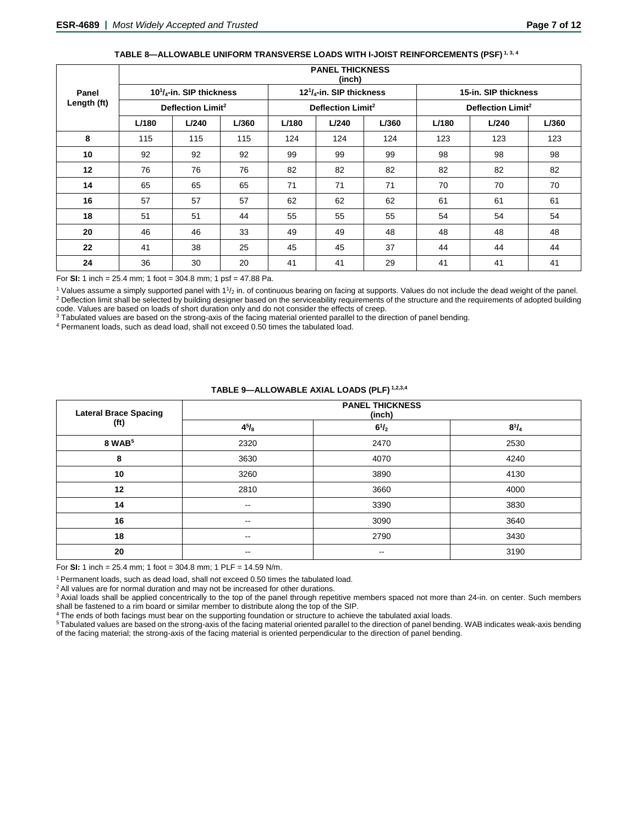|                      |       | <b>PANEL THICKNESS</b><br>(inch) |       |       |                                  |       |       |                               |       |  |  |  |
|----------------------|-------|----------------------------------|-------|-------|----------------------------------|-------|-------|-------------------------------|-------|--|--|--|
| Panel<br>Length (ft) |       | $10^{1}/_{4}$ -in. SIP thickness |       |       | $12^{1}/_{4}$ -in. SIP thickness |       |       | 15-in. SIP thickness          |       |  |  |  |
|                      |       | Deflection Limit <sup>2</sup>    |       |       | Deflection Limit <sup>2</sup>    |       |       | Deflection Limit <sup>2</sup> |       |  |  |  |
|                      | L/180 | L/240                            | L/360 | L/180 | L/240                            | L/360 | L/180 | L/240                         | L/360 |  |  |  |
| 8                    | 115   | 115                              | 115   | 124   | 124                              | 124   | 123   | 123                           | 123   |  |  |  |
| 10                   | 92    | 92                               | 92    | 99    | 99                               | 99    | 98    | 98                            | 98    |  |  |  |
| 12                   | 76    | 76                               | 76    | 82    | 82                               | 82    | 82    | 82                            | 82    |  |  |  |
| 14                   | 65    | 65                               | 65    | 71    | 71                               | 71    | 70    | 70                            | 70    |  |  |  |
| 16                   | 57    | 57                               | 57    | 62    | 62                               | 62    | 61    | 61                            | 61    |  |  |  |
| 18                   | 51    | 51                               | 44    | 55    | 55                               | 55    | 54    | 54                            | 54    |  |  |  |
| 20                   | 46    | 46                               | 33    | 49    | 49                               | 48    | 48    | 48                            | 48    |  |  |  |
| 22                   | 41    | 38                               | 25    | 45    | 45                               | 37    | 44    | 44                            | 44    |  |  |  |
| 24                   | 36    | 30                               | 20    | 41    | 41                               | 29    | 41    | 41                            | 41    |  |  |  |

# **TABLE 8—ALLOWABLE UNIFORM TRANSVERSE LOADS WITH I-JOIST REINFORCEMENTS (PSF) 1, 3, 4**

For **SI:** 1 inch = 25.4 mm; 1 foot = 304.8 mm; 1 psf = 47.88 Pa.

 $1$  Values assume a simply supported panel with  $11/2$  in. of continuous bearing on facing at supports. Values do not include the dead weight of the panel. <sup>2</sup> Deflection limit shall be selected by building designer based on the serviceability requirements of the structure and the requirements of adopted building code. Values are based on loads of short duration only and do not consider the effects of creep.

<sup>3</sup> Tabulated values are based on the strong-axis of the facing material oriented parallel to the direction of panel bending.

<sup>4</sup> Permanent loads, such as dead load, shall not exceed 0.50 times the tabulated load.

| <b>Lateral Brace Spacing</b> |                          | <b>PANEL THICKNESS</b><br>(inch) |              |  |  |  |  |  |  |
|------------------------------|--------------------------|----------------------------------|--------------|--|--|--|--|--|--|
| (f <sup>t</sup> )            | $4^{5}/_{8}$             | $6^{1}/_{2}$                     | $8^{1}/_{4}$ |  |  |  |  |  |  |
| 8 WAB <sup>5</sup>           | 2320                     | 2470                             | 2530         |  |  |  |  |  |  |
| 8                            | 3630                     | 4070                             | 4240         |  |  |  |  |  |  |
| 10                           | 3260                     | 3890                             | 4130         |  |  |  |  |  |  |
| 12                           | 2810                     | 3660                             | 4000         |  |  |  |  |  |  |
| 14                           | $\overline{\phantom{a}}$ | 3390                             | 3830         |  |  |  |  |  |  |
| 16                           | $-$                      | 3090                             | 3640         |  |  |  |  |  |  |
| 18                           | $\overline{\phantom{m}}$ | 2790                             | 3430         |  |  |  |  |  |  |
| 20                           | $\overline{\phantom{m}}$ | $\overline{\phantom{m}}$         | 3190         |  |  |  |  |  |  |

#### **TABLE 9—ALLOWABLE AXIAL LOADS (PLF) 1,2,3,4**

For **SI:** 1 inch = 25.4 mm; 1 foot = 304.8 mm; 1 PLF = 14.59 N/m.

1 Permanent loads, such as dead load, shall not exceed 0.50 times the tabulated load.

<sup>2</sup> All values are for normal duration and may not be increased for other durations.

<sup>3</sup> Axial loads shall be applied concentrically to the top of the panel through repetitive members spaced not more than 24-in. on center. Such members shall be fastened to a rim board or similar member to distribute along the top of the SIP.

4 The ends of both facings must bear on the supporting foundation or structure to achieve the tabulated axial loads.

5 Tabulated values are based on the strong-axis of the facing material oriented parallel to the direction of panel bending. WAB indicates weak-axis bending of the facing material; the strong-axis of the facing material is oriented perpendicular to the direction of panel bending.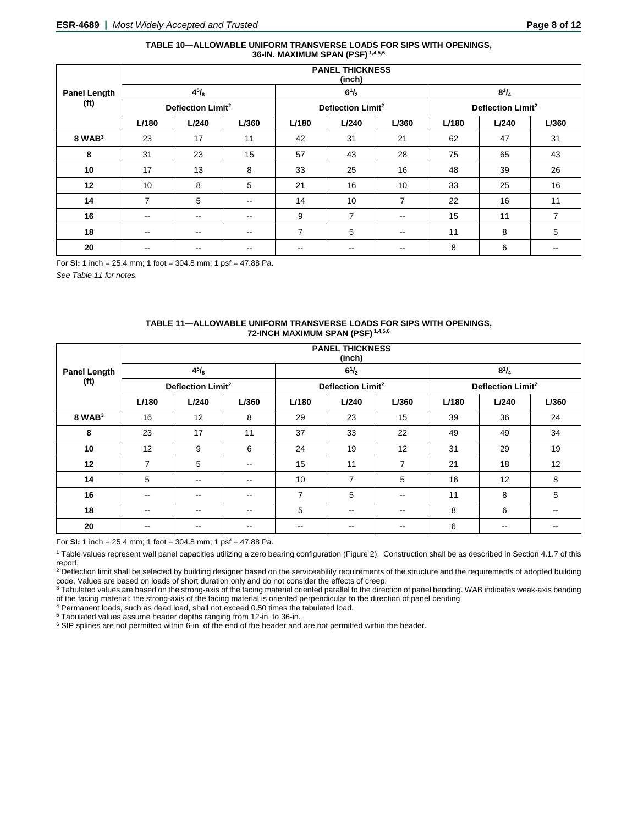#### **TABLE 10—ALLOWABLE UNIFORM TRANSVERSE LOADS FOR SIPS WITH OPENINGS, 36-IN. MAXIMUM SPAN (PSF) 1,4,5,6**

|                     | <b>PANEL THICKNESS</b><br>(inch) |               |                          |                               |                |                          |       |                               |       |  |  |
|---------------------|----------------------------------|---------------|--------------------------|-------------------------------|----------------|--------------------------|-------|-------------------------------|-------|--|--|
| <b>Panel Length</b> |                                  | $4^{5}/_{8}$  |                          |                               | $6^{1}/_{2}$   |                          |       | $8^{1}/_{4}$                  |       |  |  |
| (f <sup>t</sup> )   | Deflection Limit <sup>2</sup>    |               |                          | Deflection Limit <sup>2</sup> |                |                          |       | Deflection Limit <sup>2</sup> |       |  |  |
|                     | L/180                            | L/240         | L/360                    | L/180                         | L/240          | L/360                    | L/180 | L/240                         | L/360 |  |  |
| $8$ WAB $3$         | 23                               | 17            | 11                       | 42                            | 31             | 21                       | 62    | 47                            | 31    |  |  |
| 8                   | 31                               | 23            | 15                       | 57                            | 43             | 28                       | 75    | 65                            | 43    |  |  |
| 10                  | 17                               | 13            | 8                        | 33                            | 25             | 16                       | 48    | 39                            | 26    |  |  |
| 12                  | 10                               | 8             | 5                        | 21                            | 16             | 10                       | 33    | 25                            | 16    |  |  |
| 14                  | 7                                | 5             | $\overline{\phantom{a}}$ | 14                            | 10             | $\overline{7}$           | 22    | 16                            | 11    |  |  |
| 16                  | $\overline{\phantom{a}}$         | $\sim$ $\sim$ | $\overline{\phantom{m}}$ | 9                             | $\overline{7}$ | $\overline{\phantom{m}}$ | 15    | 11                            | 7     |  |  |
| 18                  | $\overline{\phantom{a}}$         | $\sim$ $-$    | $\overline{\phantom{m}}$ | $\overline{7}$                | 5              | $\overline{\phantom{m}}$ | 11    | 8                             | 5     |  |  |
| 20                  | --                               |               | --                       | --                            | --             |                          | 8     | 6                             |       |  |  |

For **SI:** 1 inch = 25.4 mm; 1 foot = 304.8 mm; 1 psf = 47.88 Pa.

*See Table 11 for notes.*

#### **TABLE 11—ALLOWABLE UNIFORM TRANSVERSE LOADS FOR SIPS WITH OPENINGS, 72-INCH MAXIMUM SPAN (PSF) 1,4,5,6**

|                     | <b>PANEL THICKNESS</b><br>(inch) |                               |               |                |                               |                          |       |                               |       |  |  |
|---------------------|----------------------------------|-------------------------------|---------------|----------------|-------------------------------|--------------------------|-------|-------------------------------|-------|--|--|
| <b>Panel Length</b> |                                  | $4^{5}/_{8}$                  |               |                | $6^{1}/_{2}$                  |                          |       | $8^{1}/_{4}$                  |       |  |  |
| (f <sup>t</sup> )   |                                  | Deflection Limit <sup>2</sup> |               |                | Deflection Limit <sup>2</sup> |                          |       | Deflection Limit <sup>2</sup> |       |  |  |
|                     | L/180                            | L/240                         | L/360         | L/180          | L/240                         | L/360                    | L/180 | L/240                         | L/360 |  |  |
| $8$ WAB $3$         | 16                               | 12                            | 8             | 29             | 23                            | 15                       | 39    | 36                            | 24    |  |  |
| 8                   | 23                               | 17                            | 11            | 37             | 33                            | 22                       | 49    | 49                            | 34    |  |  |
| 10                  | 12                               | 9                             | 6             | 24             | 19                            | 12                       | 31    | 29                            | 19    |  |  |
| 12                  | $\overline{7}$                   | 5                             | $- -$         | 15             | 11                            | $\overline{7}$           | 21    | 18                            | 12    |  |  |
| 14                  | 5                                | $\overline{\phantom{a}}$      | --            | 10             | $\overline{7}$                | 5                        | 16    | 12                            | 8     |  |  |
| 16                  | $\overline{\phantom{a}}$         | $- -$                         | $- -$         | $\overline{7}$ | 5                             | $\overline{\phantom{a}}$ | 11    | 8                             | 5     |  |  |
| 18                  | $\overline{\phantom{m}}$         | --                            | $\sim$ $\sim$ | 5              | $\overline{\phantom{m}}$      | $\overline{\phantom{a}}$ | 8     | 6                             | --    |  |  |
| 20                  | $\overline{\phantom{a}}$         | $- -$                         | $- -$         | $- -$          | $- -$                         | $- -$                    | 6     | $\overline{\phantom{m}}$      |       |  |  |

For **SI:** 1 inch = 25.4 mm; 1 foot = 304.8 mm; 1 psf = 47.88 Pa.

<sup>1</sup> Table values represent wall panel capacities utilizing a zero bearing configuration (Figure 2). Construction shall be as described in Section 4.1.7 of this report.

<sup>2</sup> Deflection limit shall be selected by building designer based on the serviceability requirements of the structure and the requirements of adopted building code. Values are based on loads of short duration only and do not consider the effects of creep.

3 Tabulated values are based on the strong-axis of the facing material oriented parallel to the direction of panel bending. WAB indicates weak-axis bending of the facing material; the strong-axis of the facing material is oriented perpendicular to the direction of panel bending.

 $4$  Permanent loads, such as dead load, shall not exceed 0.50 times the tabulated load.<br> $5$  Tabulated values assume header depths ranging from 12-in. to 36-in.

 $6$  SIP splines are not permitted within 6-in. of the end of the header and are not permitted within the header.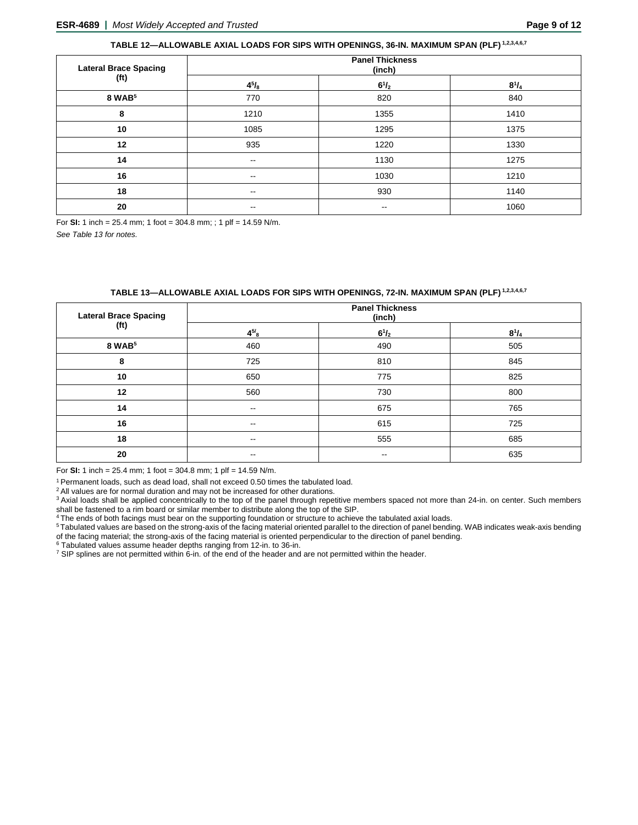# **TABLE 12—ALLOWABLE AXIAL LOADS FOR SIPS WITH OPENINGS, 36-IN. MAXIMUM SPAN (PLF) 1,2,3,4,6,7**

| <b>Lateral Brace Spacing</b> | <b>Panel Thickness</b><br>(inch) |              |              |  |  |  |  |
|------------------------------|----------------------------------|--------------|--------------|--|--|--|--|
| (ft)                         | $4^{5}/_{8}$                     | $6^{1}/_{2}$ | $8^{1}/_{4}$ |  |  |  |  |
| 8 WAB <sup>5</sup>           | 770                              | 820          | 840          |  |  |  |  |
| 8                            | 1210                             | 1355         | 1410         |  |  |  |  |
| 10                           | 1085                             | 1295         | 1375         |  |  |  |  |
| 12                           | 935                              | 1220         | 1330         |  |  |  |  |
| 14                           | $\overline{\phantom{m}}$         | 1130         | 1275         |  |  |  |  |
| 16                           | $\overline{\phantom{a}}$         | 1030         | 1210         |  |  |  |  |
| 18                           | $\overline{\phantom{m}}$         | 930          | 1140         |  |  |  |  |
| 20                           | $- -$                            | $- -$        | 1060         |  |  |  |  |

For **SI:** 1 inch = 25.4 mm; 1 foot = 304.8 mm; ; 1 plf = 14.59 N/m.

*See Table 13 for notes.*

# **TABLE 13—ALLOWABLE AXIAL LOADS FOR SIPS WITH OPENINGS, 72-IN. MAXIMUM SPAN (PLF) 1,2,3,4,6,7**

| <b>Lateral Brace Spacing</b><br>(f <sup>t</sup> ) | <b>Panel Thickness</b><br>(inch) |                          |              |
|---------------------------------------------------|----------------------------------|--------------------------|--------------|
|                                                   | $4^{5/8}$                        | $6^{1}/_{2}$             | $8^{1}/_{4}$ |
| 8 WAB <sup>5</sup>                                | 460                              | 490                      | 505          |
| 8                                                 | 725                              | 810                      | 845          |
| 10                                                | 650                              | 775                      | 825          |
| 12                                                | 560                              | 730                      | 800          |
| 14                                                | $\overline{\phantom{m}}$         | 675                      | 765          |
| 16                                                | $\sim$ $\sim$                    | 615                      | 725          |
| 18                                                | $\sim$                           | 555                      | 685          |
| 20                                                | $\overline{\phantom{a}}$         | $\overline{\phantom{m}}$ | 635          |

For **SI:** 1 inch = 25.4 mm; 1 foot = 304.8 mm; 1 plf = 14.59 N/m.

1 Permanent loads, such as dead load, shall not exceed 0.50 times the tabulated load.

<sup>2</sup> All values are for normal duration and may not be increased for other durations.

<sup>3</sup> Axial loads shall be applied concentrically to the top of the panel through repetitive members spaced not more than 24-in. on center. Such members shall be fastened to a rim board or similar member to distribute along the top of the SIP.

4 The ends of both facings must bear on the supporting foundation or structure to achieve the tabulated axial loads.

<sup>5</sup> Tabulated values are based on the strong-axis of the facing material oriented parallel to the direction of panel bending. WAB indicates weak-axis bending of the facing material; the strong-axis of the facing material is oriented perpendicular to the direction of panel bending.<br><sup>6</sup> Tabulated values assume header depths ranging from 12-in. to 36-in.

 $^7$  SIP splines are not permitted within 6-in. of the end of the header and are not permitted within the header.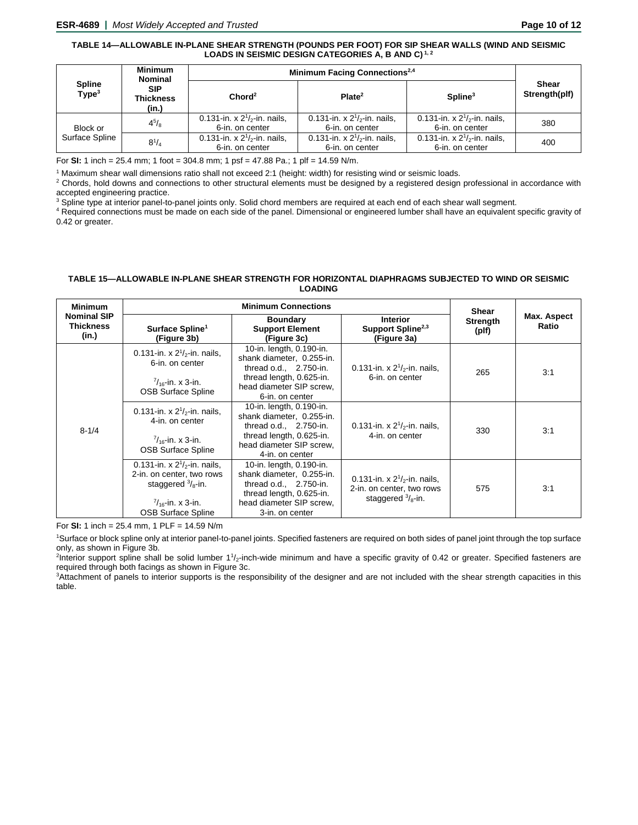# **TABLE 14—ALLOWABLE IN-PLANE SHEAR STRENGTH (POUNDS PER FOOT) FOR SIP SHEAR WALLS (WIND AND SEISMIC LOADS IN SEISMIC DESIGN CATEGORIES A, B AND C) 1, 2**

|                                    | <b>Minimum</b><br><b>Nominal</b>        | Minimum Facing Connections <sup>2,4</sup>            |                                                         |                                                      |                               |
|------------------------------------|-----------------------------------------|------------------------------------------------------|---------------------------------------------------------|------------------------------------------------------|-------------------------------|
| <b>Spline</b><br>Type <sup>3</sup> | <b>SIP</b><br><b>Thickness</b><br>(in.) | Chord <sup>2</sup>                                   | Plate <sup>2</sup>                                      | $S$ pline $3$                                        | <b>Shear</b><br>Strength(plf) |
| Block or<br>Surface Spline         | $4^{5}/_{8}$                            | 0.131-in. x $2^{1}/2$ -in. nails,<br>6-in. on center | 0.131-in. x $2^{1}/2$ -in. nails,<br>6-in. on center    | 0.131-in. x $2^{1}/2$ -in. nails.<br>6-in. on center | 380                           |
|                                    | $8^{1}/_{4}$                            | 0.131-in. x $2^{1/2}$ -in. nails,<br>6-in. on center | 0.131-in. x $2^{1}/_{2}$ -in. nails,<br>6-in. on center | 0.131-in. x $2^{1/2}$ -in. nails.<br>6-in. on center | 400                           |

For **SI:** 1 inch = 25.4 mm; 1 foot = 304.8 mm; 1 psf = 47.88 Pa.; 1 plf = 14.59 N/m.

<sup>1</sup> Maximum shear wall dimensions ratio shall not exceed 2:1 (height: width) for resisting wind or seismic loads.

<sup>2</sup> Chords, hold downs and connections to other structural elements must be designed by a registered design professional in accordance with accepted engineering practice.

<sup>3</sup> Spline type at interior panel-to-panel joints only. Solid chord members are required at each end of each shear wall segment.

<sup>4</sup> Required connections must be made on each side of the panel. Dimensional or engineered lumber shall have an equivalent specific gravity of 0.42 or greater.

# **TABLE 15—ALLOWABLE IN-PLANE SHEAR STRENGTH FOR HORIZONTAL DIAPHRAGMS SUBJECTED TO WIND OR SEISMIC LOADING**

| <b>Minimum</b>                                  | <b>Minimum Connections</b>                                                                                                                                 |                                                                                                                                                              |                                                                                                | Shear             |                      |
|-------------------------------------------------|------------------------------------------------------------------------------------------------------------------------------------------------------------|--------------------------------------------------------------------------------------------------------------------------------------------------------------|------------------------------------------------------------------------------------------------|-------------------|----------------------|
| <b>Nominal SIP</b><br><b>Thickness</b><br>(in.) | Surface Spline <sup>1</sup><br>(Figure 3b)                                                                                                                 | <b>Boundary</b><br><b>Support Element</b><br>(Figure 3c)                                                                                                     | <b>Interior</b><br>Support Spline <sup>2,3</sup><br>(Figure 3a)                                | Strength<br>(plf) | Max. Aspect<br>Ratio |
| $8 - 1/4$                                       | 0.131-in. x $2^{1}/2$ -in. nails,<br>6-in. on center<br>$\frac{7}{16}$ -in. x 3-in.<br><b>OSB Surface Spline</b>                                           | 10-in. length, 0.190-in.<br>shank diameter, 0.255-in.<br>thread $o.d., 2.750-in.$<br>thread length, 0.625-in.<br>head diameter SIP screw.<br>6-in. on center | 0.131-in. x $2^{1}/2$ -in. nails,<br>6-in. on center                                           | 265               | 3:1                  |
|                                                 | 0.131-in. x $2^{1}/2$ -in. nails,<br>4-in. on center<br>$\frac{7}{16}$ -in. x 3-in.<br><b>OSB Surface Spline</b>                                           | 10-in. length, 0.190-in.<br>shank diameter, 0.255-in.<br>thread o.d., 2.750-in.<br>thread length, 0.625-in.<br>head diameter SIP screw.<br>4-in. on center   | 0.131-in. x $2^{1}/2$ -in. nails.<br>4-in. on center                                           | 330               | 3:1                  |
|                                                 | 0.131-in. x $2^{1/2}$ -in. nails.<br>2-in. on center, two rows<br>staggered $\frac{3}{8}$ -in.<br>$\frac{7}{16}$ -in. x 3-in.<br><b>OSB Surface Spline</b> | 10-in. length, 0.190-in.<br>shank diameter, 0.255-in.<br>thread $o.d., 2.750-in.$<br>thread length, 0.625-in.<br>head diameter SIP screw,<br>3-in. on center | 0.131-in. x $2^{1/2}$ -in. nails,<br>2-in. on center, two rows<br>staggered $\frac{3}{8}$ -in. | 575               | 3:1                  |

For **SI:** 1 inch = 25.4 mm, 1 PLF = 14.59 N/m

1 Surface or block spline only at interior panel-to-panel joints. Specified fasteners are required on both sides of panel joint through the top surface only, as shown in Figure 3b.

<sup>2</sup>Interior support spline shall be solid lumber 1<sup>1</sup>/<sub>2</sub>-inch-wide minimum and have a specific gravity of 0.42 or greater. Specified fasteners are required through both facings as shown in Figure 3c.

3 Attachment of panels to interior supports is the responsibility of the designer and are not included with the shear strength capacities in this table.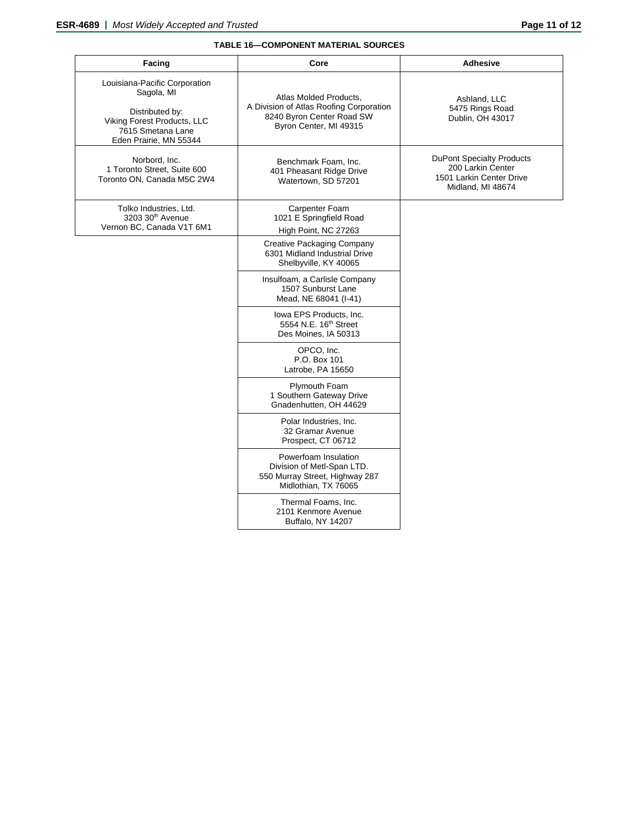# **TABLE 16—COMPONENT MATERIAL SOURCES**

| Facing                                                                                                                                       | Core                                                                                                                     | <b>Adhesive</b>                                                                                        |
|----------------------------------------------------------------------------------------------------------------------------------------------|--------------------------------------------------------------------------------------------------------------------------|--------------------------------------------------------------------------------------------------------|
| Louisiana-Pacific Corporation<br>Sagola, MI<br>Distributed by:<br>Viking Forest Products, LLC<br>7615 Smetana Lane<br>Eden Prairie, MN 55344 | Atlas Molded Products.<br>A Division of Atlas Roofing Corporation<br>8240 Byron Center Road SW<br>Byron Center, MI 49315 | Ashland, LLC<br>5475 Rings Road<br>Dublin, OH 43017                                                    |
| Norbord, Inc.<br>1 Toronto Street, Suite 600<br>Toronto ON, Canada M5C 2W4                                                                   | Benchmark Foam, Inc.<br>401 Pheasant Ridge Drive<br>Watertown, SD 57201                                                  | <b>DuPont Specialty Products</b><br>200 Larkin Center<br>1501 Larkin Center Drive<br>Midland, MI 48674 |
| Tolko Industries, Ltd.<br>3203 30 <sup>th</sup> Avenue<br>Vernon BC, Canada V1T 6M1                                                          | Carpenter Foam<br>1021 E Springfield Road<br>High Point, NC 27263                                                        |                                                                                                        |
|                                                                                                                                              | <b>Creative Packaging Company</b><br>6301 Midland Industrial Drive<br>Shelbyville, KY 40065                              |                                                                                                        |
|                                                                                                                                              | Insulfoam, a Carlisle Company<br>1507 Sunburst Lane<br>Mead, NE 68041 (I-41)                                             |                                                                                                        |
|                                                                                                                                              | lowa EPS Products, Inc.<br>5554 N.E. 16 <sup>th</sup> Street<br>Des Moines, IA 50313                                     |                                                                                                        |
|                                                                                                                                              | OPCO, Inc.<br>P.O. Box 101<br>Latrobe, PA 15650                                                                          |                                                                                                        |
|                                                                                                                                              | Plymouth Foam<br>1 Southern Gateway Drive<br>Gnadenhutten, OH 44629                                                      |                                                                                                        |
|                                                                                                                                              | Polar Industries, Inc.<br>32 Gramar Avenue<br>Prospect, CT 06712                                                         |                                                                                                        |
|                                                                                                                                              | Powerfoam Insulation<br>Division of Metl-Span LTD.<br>550 Murray Street, Highway 287<br>Midlothian, TX 76065             |                                                                                                        |
|                                                                                                                                              | Thermal Foams, Inc.<br>2101 Kenmore Avenue<br>Buffalo, NY 14207                                                          |                                                                                                        |